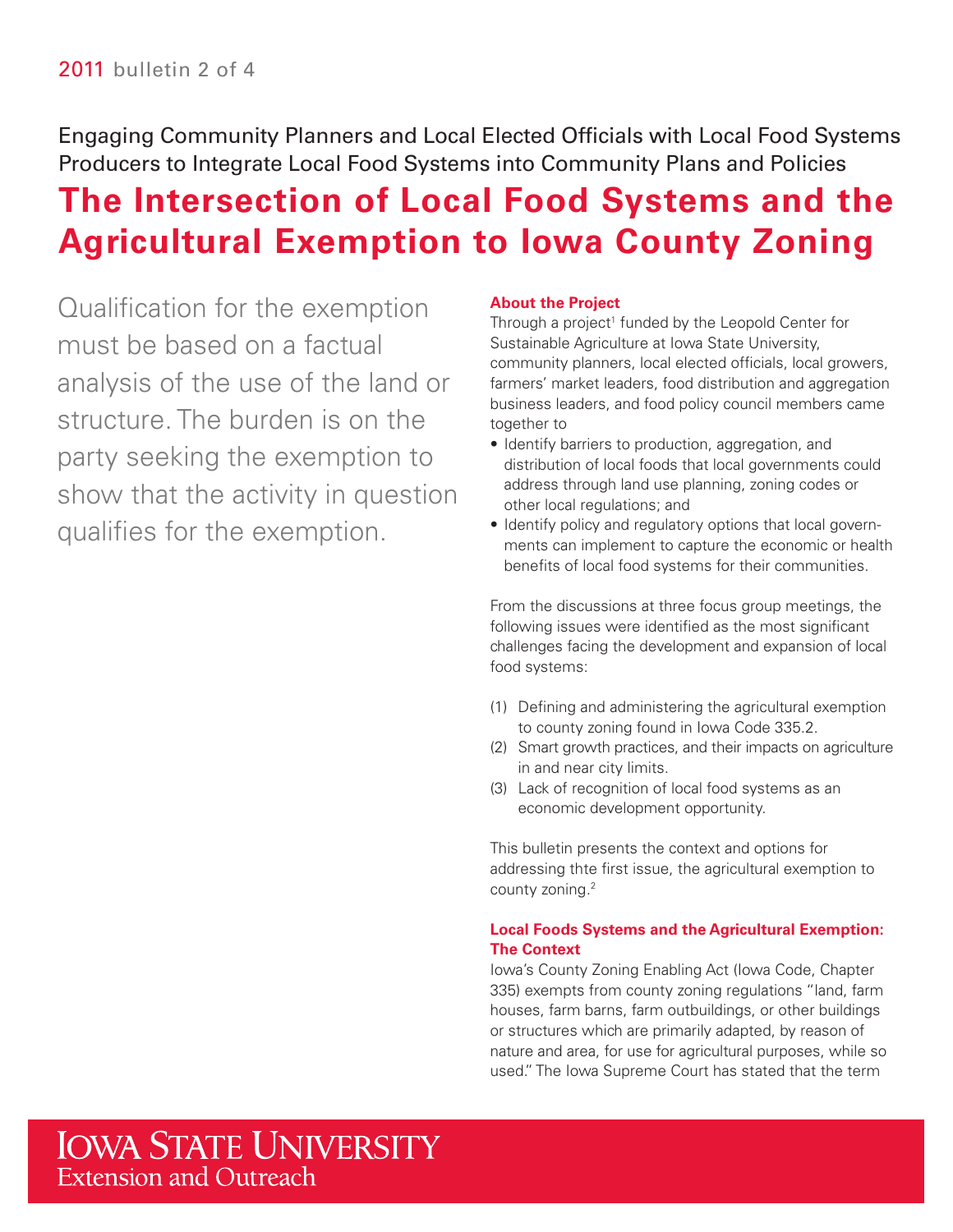Engaging Community Planners and Local Elected Officials with Local Food Systems Producers to Integrate Local Food Systems into Community Plans and Policies

# **The Intersection of Local Food Systems and the Agricultural Exemption to Iowa County Zoning**

Qualification for the exemption must be based on a factual analysis of the use of the land or structure. The burden is on the party seeking the exemption to show that the activity in question qualifes for the exemption.

### **About the Project**

Through a project<sup>1</sup> funded by the Leopold Center for Sustainable Agriculture at Iowa State University, community planners, local elected officials, local growers, farmers' market leaders, food distribution and aggregation business leaders, and food policy council members came together to

- Identify barriers to production, aggregation, and distribution of local foods that local governments could address through land use planning, zoning codes or other local regulations; and
- • Identify policy and regulatory options that local governments can implement to capture the economic or health benefits of local food systems for their communities.

From the discussions at three focus group meetings, the following issues were identified as the most significant challenges facing the development and expansion of local food systems:

- (1) Defning and administering the agricultural exemption to county zoning found in Iowa Code 335.2.
- (2) Smart growth practices, and their impacts on agriculture in and near city limits.
- (3) Lack of recognition of local food systems as an economic development opportunity.

This bulletin presents the context and options for addressing thte first issue, the agricultural exemption to county zoning.2

# **Local Foods Systems and the Agricultural Exemption: The Context**

Iowa's County Zoning Enabling Act (Iowa Code, Chapter 335) exempts from county zoning regulations "land, farm houses, farm barns, farm outbuildings, or other buildings or structures which are primarily adapted, by reason of nature and area, for use for agricultural purposes, while so used." The Iowa Supreme Court has stated that the term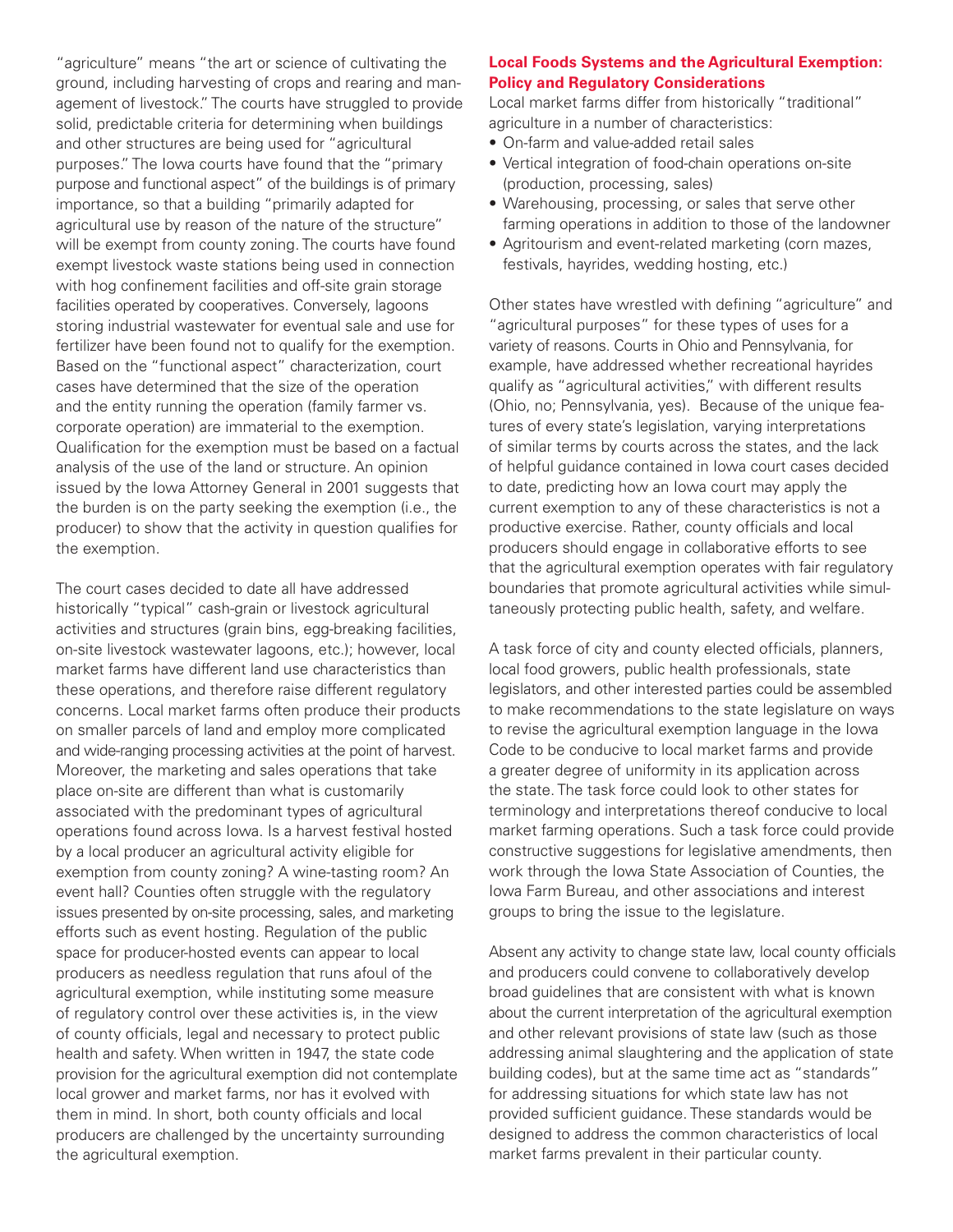purpose and functional aspect" of the buildings is of primary facilities operated by cooperatives. Conversely, lagoons "agriculture" means "the art or science of cultivating the ground, including harvesting of crops and rearing and management of livestock." The courts have struggled to provide solid, predictable criteria for determining when buildings and other structures are being used for "agricultural purposes." The Iowa courts have found that the "primary importance, so that a building "primarily adapted for agricultural use by reason of the nature of the structure" will be exempt from county zoning. The courts have found exempt livestock waste stations being used in connection with hog confinement facilities and off-site grain storage storing industrial wastewater for eventual sale and use for fertilizer have been found not to qualify for the exemption. Based on the "functional aspect" characterization, court cases have determined that the size of the operation and the entity running the operation (family farmer vs. corporate operation) are immaterial to the exemption. Qualification for the exemption must be based on a factual analysis of the use of the land or structure. An opinion issued by the Iowa Attorney General in 2001 suggests that the burden is on the party seeking the exemption (i.e., the producer) to show that the activity in question qualifes for the exemption.

 and wide-ranging processing activities at the point of harvest. issues presented by on-site processing, sales, and marketing provision for the agricultural exemption did not contemplate The court cases decided to date all have addressed historically "typical" cash-grain or livestock agricultural activities and structures (grain bins, egg-breaking facilities, on-site livestock wastewater lagoons, etc.); however, local market farms have different land use characteristics than these operations, and therefore raise different regulatory concerns. Local market farms often produce their products on smaller parcels of land and employ more complicated Moreover, the marketing and sales operations that take place on-site are different than what is customarily associated with the predominant types of agricultural operations found across Iowa. Is a harvest festival hosted by a local producer an agricultural activity eligible for exemption from county zoning? A wine-tasting room? An event hall? Counties often struggle with the regulatory efforts such as event hosting. Regulation of the public space for producer-hosted events can appear to local producers as needless regulation that runs afoul of the agricultural exemption, while instituting some measure of regulatory control over these activities is, in the view of county officials, legal and necessary to protect public health and safety. When written in 1947, the state code local grower and market farms, nor has it evolved with them in mind. In short, both county officials and local producers are challenged by the uncertainty surrounding the agricultural exemption.

#### **Local Foods Systems and the Agricultural Exemption: Policy and Regulatory Considerations**

Local market farms differ from historically "traditional" agriculture in a number of characteristics:

- On-farm and value-added retail sales
- Vertical integration of food-chain operations on-site (production, processing, sales)
- Warehousing, processing, or sales that serve other farming operations in addition to those of the landowner
- Agritourism and event-related marketing (corn mazes, festivals, hayrides, wedding hosting, etc.)

 variety of reasons. Courts in Ohio and Pennsylvania, for tures of every state's legislation, varying interpretations that the agricultural exemption operates with fair regulatory Other states have wrestled with defining "agriculture" and "agricultural purposes" for these types of uses for a example, have addressed whether recreational hayrides qualify as "agricultural activities," with different results (Ohio, no; Pennsylvania, yes). Because of the unique feaof similar terms by courts across the states, and the lack of helpful guidance contained in Iowa court cases decided to date, predicting how an Iowa court may apply the current exemption to any of these characteristics is not a productive exercise. Rather, county officials and local producers should engage in collaborative efforts to see boundaries that promote agricultural activities while simultaneously protecting public health, safety, and welfare.

 legislators, and other interested parties could be assembled A task force of city and county elected officials, planners, local food growers, public health professionals, state to make recommendations to the state legislature on ways to revise the agricultural exemption language in the Iowa Code to be conducive to local market farms and provide a greater degree of uniformity in its application across the state. The task force could look to other states for terminology and interpretations thereof conducive to local market farming operations. Such a task force could provide constructive suggestions for legislative amendments, then work through the Iowa State Association of Counties, the Iowa Farm Bureau, and other associations and interest groups to bring the issue to the legislature.

Absent any activity to change state law, local county officials about the current interpretation of the agricultural exemption and producers could convene to collaboratively develop broad guidelines that are consistent with what is known and other relevant provisions of state law (such as those addressing animal slaughtering and the application of state building codes), but at the same time act as "standards" for addressing situations for which state law has not provided sufficient quidance. These standards would be designed to address the common characteristics of local market farms prevalent in their particular county.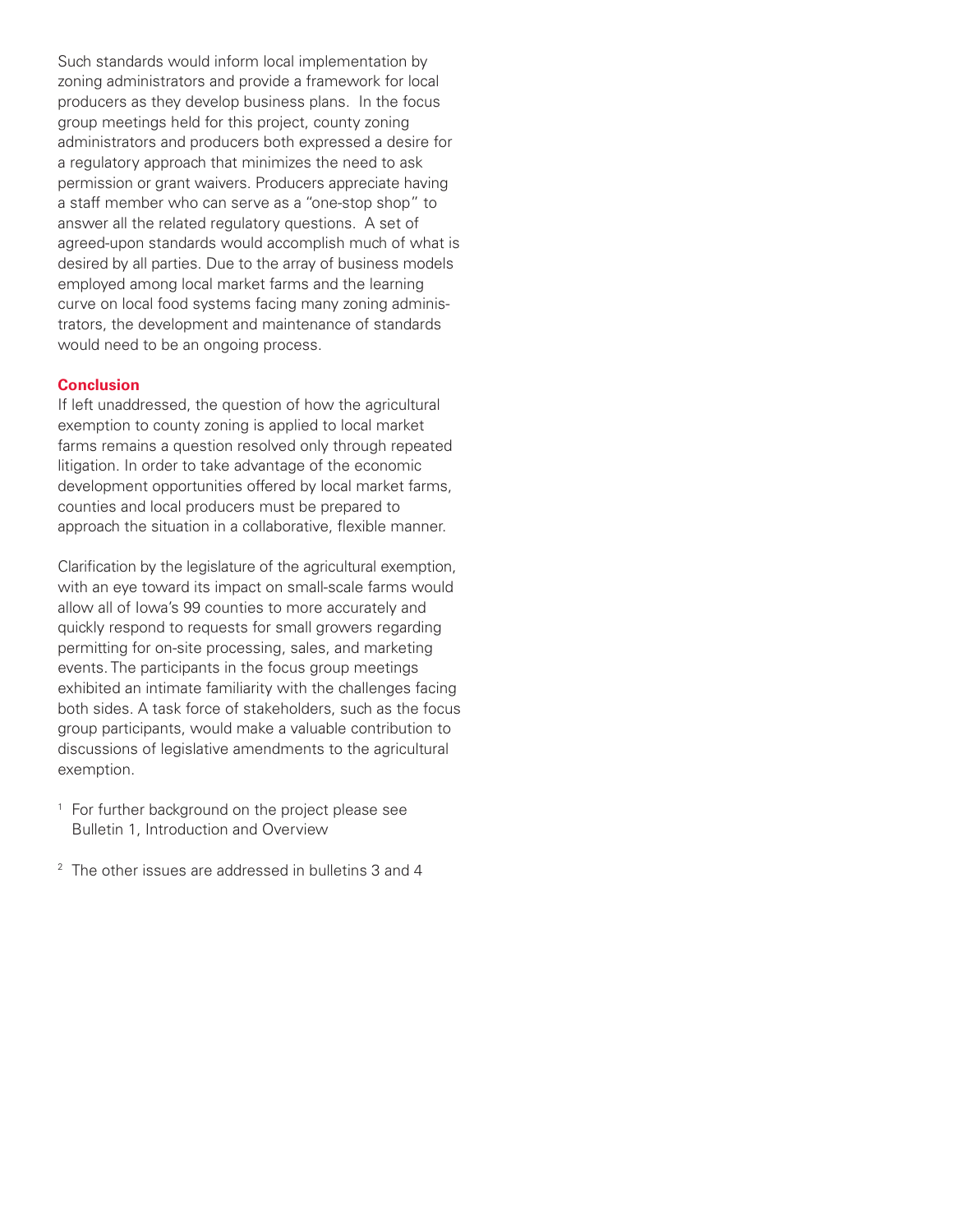permission or grant waivers. Producers appreciate having desired by all parties. Due to the array of business models Such standards would inform local implementation by zoning administrators and provide a framework for local producers as they develop business plans. In the focus group meetings held for this project, county zoning administrators and producers both expressed a desire for a regulatory approach that minimizes the need to ask a staff member who can serve as a "one-stop shop" to answer all the related regulatory questions. A set of agreed-upon standards would accomplish much of what is employed among local market farms and the learning curve on local food systems facing many zoning administrators, the development and maintenance of standards would need to be an ongoing process.

#### **Conclusion**

If left unaddressed, the question of how the agricultural exemption to county zoning is applied to local market farms remains a question resolved only through repeated litigation. In order to take advantage of the economic development opportunities offered by local market farms, counties and local producers must be prepared to approach the situation in a collaborative, flexible manner.

Clarification by the legislature of the agricultural exemption, with an eye toward its impact on small-scale farms would allow all of Iowa's 99 counties to more accurately and quickly respond to requests for small growers regarding permitting for on-site processing, sales, and marketing events. The participants in the focus group meetings exhibited an intimate familiarity with the challenges facing both sides. A task force of stakeholders, such as the focus group participants, would make a valuable contribution to discussions of legislative amendments to the agricultural exemption.

- <sup>1</sup> For further background on the project please see Bulletin 1, Introduction and Overview
- <sup>2</sup> The other issues are addressed in bulletins 3 and 4